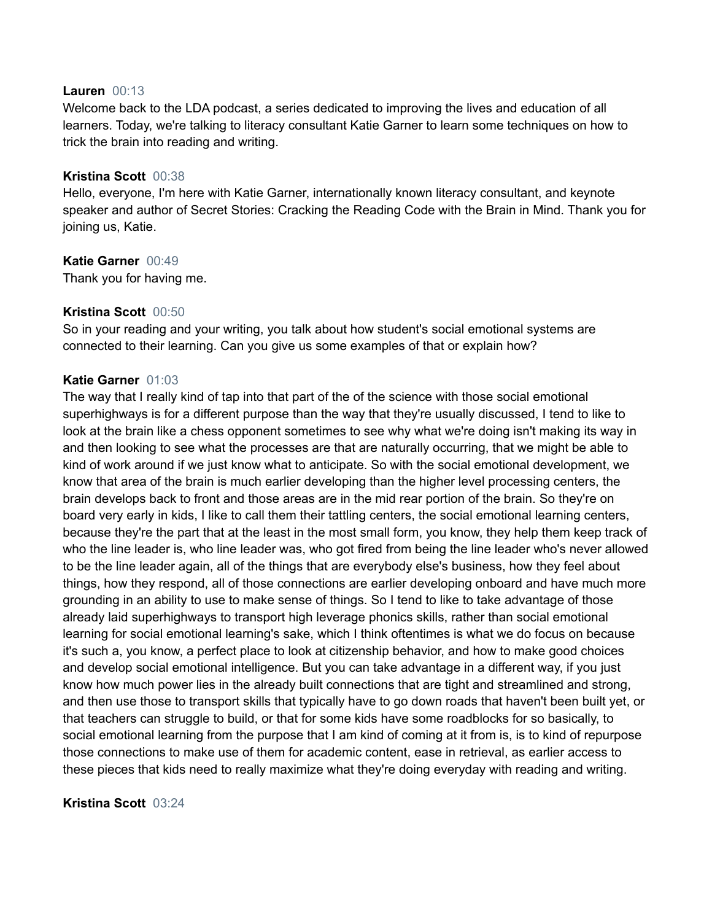### **Lauren** 00:13

Welcome back to the LDA podcast, a series dedicated to improving the lives and education of all learners. Today, we're talking to literacy consultant Katie Garner to learn some techniques on how to trick the brain into reading and writing.

## **Kristina Scott** 00:38

Hello, everyone, I'm here with Katie Garner, internationally known literacy consultant, and keynote speaker and author of Secret Stories: Cracking the Reading Code with the Brain in Mind. Thank you for joining us, Katie.

## **Katie Garner** 00:49

Thank you for having me.

## **Kristina Scott** 00:50

So in your reading and your writing, you talk about how student's social emotional systems are connected to their learning. Can you give us some examples of that or explain how?

## **Katie Garner** 01:03

The way that I really kind of tap into that part of the of the science with those social emotional superhighways is for a different purpose than the way that they're usually discussed, I tend to like to look at the brain like a chess opponent sometimes to see why what we're doing isn't making its way in and then looking to see what the processes are that are naturally occurring, that we might be able to kind of work around if we just know what to anticipate. So with the social emotional development, we know that area of the brain is much earlier developing than the higher level processing centers, the brain develops back to front and those areas are in the mid rear portion of the brain. So they're on board very early in kids, I like to call them their tattling centers, the social emotional learning centers, because they're the part that at the least in the most small form, you know, they help them keep track of who the line leader is, who line leader was, who got fired from being the line leader who's never allowed to be the line leader again, all of the things that are everybody else's business, how they feel about things, how they respond, all of those connections are earlier developing onboard and have much more grounding in an ability to use to make sense of things. So I tend to like to take advantage of those already laid superhighways to transport high leverage phonics skills, rather than social emotional learning for social emotional learning's sake, which I think oftentimes is what we do focus on because it's such a, you know, a perfect place to look at citizenship behavior, and how to make good choices and develop social emotional intelligence. But you can take advantage in a different way, if you just know how much power lies in the already built connections that are tight and streamlined and strong, and then use those to transport skills that typically have to go down roads that haven't been built yet, or that teachers can struggle to build, or that for some kids have some roadblocks for so basically, to social emotional learning from the purpose that I am kind of coming at it from is, is to kind of repurpose those connections to make use of them for academic content, ease in retrieval, as earlier access to these pieces that kids need to really maximize what they're doing everyday with reading and writing.

### **Kristina Scott** 03:24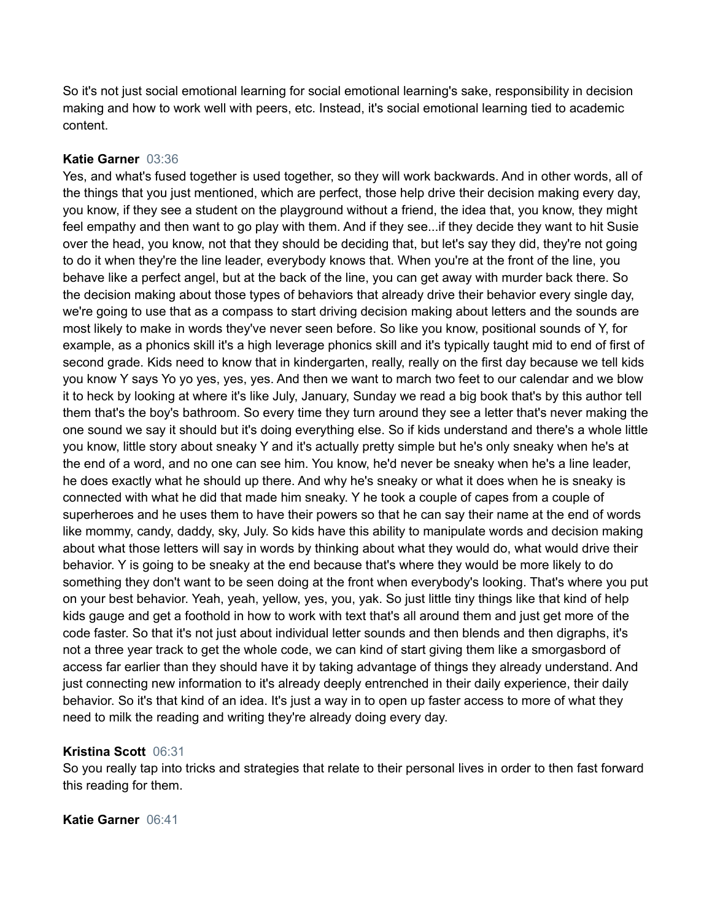So it's not just social emotional learning for social emotional learning's sake, responsibility in decision making and how to work well with peers, etc. Instead, it's social emotional learning tied to academic content.

## **Katie Garner** 03:36

Yes, and what's fused together is used together, so they will work backwards. And in other words, all of the things that you just mentioned, which are perfect, those help drive their decision making every day, you know, if they see a student on the playground without a friend, the idea that, you know, they might feel empathy and then want to go play with them. And if they see...if they decide they want to hit Susie over the head, you know, not that they should be deciding that, but let's say they did, they're not going to do it when they're the line leader, everybody knows that. When you're at the front of the line, you behave like a perfect angel, but at the back of the line, you can get away with murder back there. So the decision making about those types of behaviors that already drive their behavior every single day, we're going to use that as a compass to start driving decision making about letters and the sounds are most likely to make in words they've never seen before. So like you know, positional sounds of Y, for example, as a phonics skill it's a high leverage phonics skill and it's typically taught mid to end of first of second grade. Kids need to know that in kindergarten, really, really on the first day because we tell kids you know Y says Yo yo yes, yes, yes. And then we want to march two feet to our calendar and we blow it to heck by looking at where it's like July, January, Sunday we read a big book that's by this author tell them that's the boy's bathroom. So every time they turn around they see a letter that's never making the one sound we say it should but it's doing everything else. So if kids understand and there's a whole little you know, little story about sneaky Y and it's actually pretty simple but he's only sneaky when he's at the end of a word, and no one can see him. You know, he'd never be sneaky when he's a line leader, he does exactly what he should up there. And why he's sneaky or what it does when he is sneaky is connected with what he did that made him sneaky. Y he took a couple of capes from a couple of superheroes and he uses them to have their powers so that he can say their name at the end of words like mommy, candy, daddy, sky, July. So kids have this ability to manipulate words and decision making about what those letters will say in words by thinking about what they would do, what would drive their behavior. Y is going to be sneaky at the end because that's where they would be more likely to do something they don't want to be seen doing at the front when everybody's looking. That's where you put on your best behavior. Yeah, yeah, yellow, yes, you, yak. So just little tiny things like that kind of help kids gauge and get a foothold in how to work with text that's all around them and just get more of the code faster. So that it's not just about individual letter sounds and then blends and then digraphs, it's not a three year track to get the whole code, we can kind of start giving them like a smorgasbord of access far earlier than they should have it by taking advantage of things they already understand. And just connecting new information to it's already deeply entrenched in their daily experience, their daily behavior. So it's that kind of an idea. It's just a way in to open up faster access to more of what they need to milk the reading and writing they're already doing every day.

# **Kristina Scott** 06:31

So you really tap into tricks and strategies that relate to their personal lives in order to then fast forward this reading for them.

# **Katie Garner** 06:41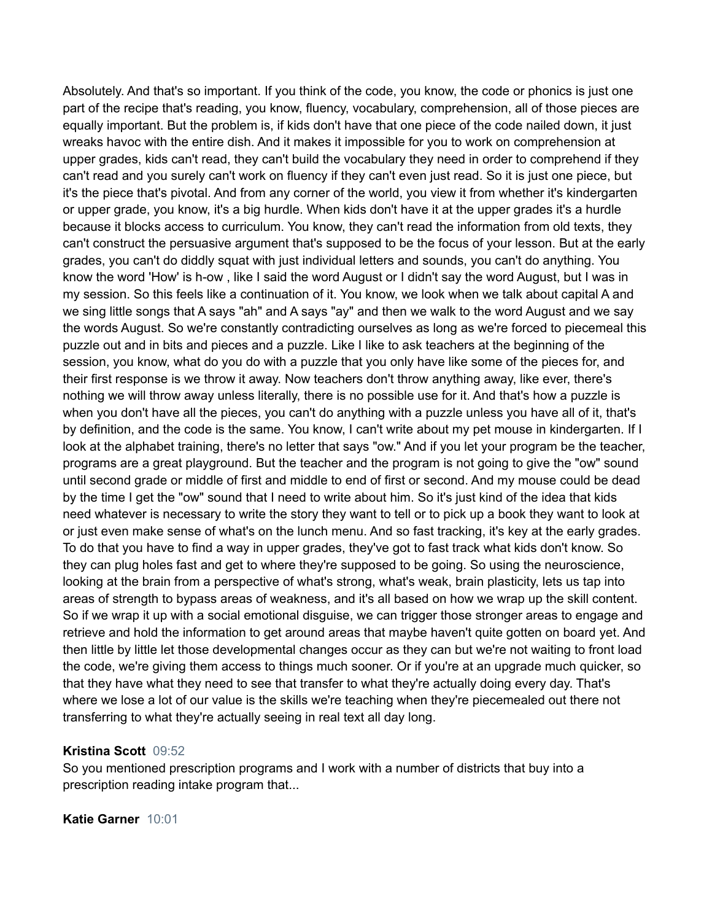Absolutely. And that's so important. If you think of the code, you know, the code or phonics is just one part of the recipe that's reading, you know, fluency, vocabulary, comprehension, all of those pieces are equally important. But the problem is, if kids don't have that one piece of the code nailed down, it just wreaks havoc with the entire dish. And it makes it impossible for you to work on comprehension at upper grades, kids can't read, they can't build the vocabulary they need in order to comprehend if they can't read and you surely can't work on fluency if they can't even just read. So it is just one piece, but it's the piece that's pivotal. And from any corner of the world, you view it from whether it's kindergarten or upper grade, you know, it's a big hurdle. When kids don't have it at the upper grades it's a hurdle because it blocks access to curriculum. You know, they can't read the information from old texts, they can't construct the persuasive argument that's supposed to be the focus of your lesson. But at the early grades, you can't do diddly squat with just individual letters and sounds, you can't do anything. You know the word 'How' is h-ow , like I said the word August or I didn't say the word August, but I was in my session. So this feels like a continuation of it. You know, we look when we talk about capital A and we sing little songs that A says "ah" and A says "ay" and then we walk to the word August and we say the words August. So we're constantly contradicting ourselves as long as we're forced to piecemeal this puzzle out and in bits and pieces and a puzzle. Like I like to ask teachers at the beginning of the session, you know, what do you do with a puzzle that you only have like some of the pieces for, and their first response is we throw it away. Now teachers don't throw anything away, like ever, there's nothing we will throw away unless literally, there is no possible use for it. And that's how a puzzle is when you don't have all the pieces, you can't do anything with a puzzle unless you have all of it, that's by definition, and the code is the same. You know, I can't write about my pet mouse in kindergarten. If I look at the alphabet training, there's no letter that says "ow." And if you let your program be the teacher, programs are a great playground. But the teacher and the program is not going to give the "ow" sound until second grade or middle of first and middle to end of first or second. And my mouse could be dead by the time I get the "ow" sound that I need to write about him. So it's just kind of the idea that kids need whatever is necessary to write the story they want to tell or to pick up a book they want to look at or just even make sense of what's on the lunch menu. And so fast tracking, it's key at the early grades. To do that you have to find a way in upper grades, they've got to fast track what kids don't know. So they can plug holes fast and get to where they're supposed to be going. So using the neuroscience, looking at the brain from a perspective of what's strong, what's weak, brain plasticity, lets us tap into areas of strength to bypass areas of weakness, and it's all based on how we wrap up the skill content. So if we wrap it up with a social emotional disguise, we can trigger those stronger areas to engage and retrieve and hold the information to get around areas that maybe haven't quite gotten on board yet. And then little by little let those developmental changes occur as they can but we're not waiting to front load the code, we're giving them access to things much sooner. Or if you're at an upgrade much quicker, so that they have what they need to see that transfer to what they're actually doing every day. That's where we lose a lot of our value is the skills we're teaching when they're piecemealed out there not transferring to what they're actually seeing in real text all day long.

### **Kristina Scott** 09:52

So you mentioned prescription programs and I work with a number of districts that buy into a prescription reading intake program that...

### **Katie Garner** 10:01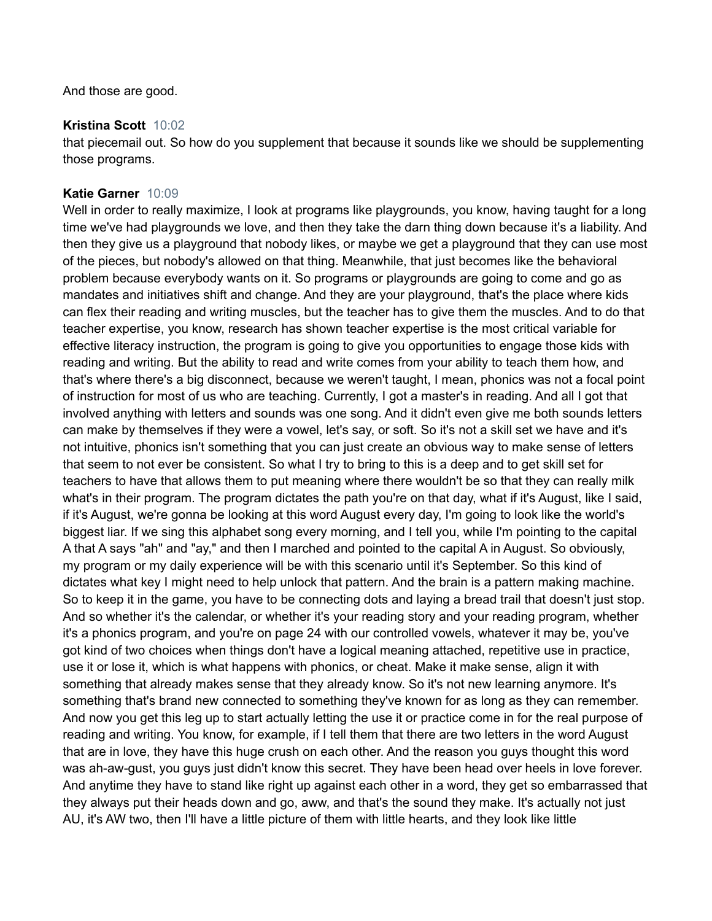And those are good.

## **Kristina Scott** 10:02

that piecemail out. So how do you supplement that because it sounds like we should be supplementing those programs.

## **Katie Garner** 10:09

Well in order to really maximize, I look at programs like playgrounds, you know, having taught for a long time we've had playgrounds we love, and then they take the darn thing down because it's a liability. And then they give us a playground that nobody likes, or maybe we get a playground that they can use most of the pieces, but nobody's allowed on that thing. Meanwhile, that just becomes like the behavioral problem because everybody wants on it. So programs or playgrounds are going to come and go as mandates and initiatives shift and change. And they are your playground, that's the place where kids can flex their reading and writing muscles, but the teacher has to give them the muscles. And to do that teacher expertise, you know, research has shown teacher expertise is the most critical variable for effective literacy instruction, the program is going to give you opportunities to engage those kids with reading and writing. But the ability to read and write comes from your ability to teach them how, and that's where there's a big disconnect, because we weren't taught, I mean, phonics was not a focal point of instruction for most of us who are teaching. Currently, I got a master's in reading. And all I got that involved anything with letters and sounds was one song. And it didn't even give me both sounds letters can make by themselves if they were a vowel, let's say, or soft. So it's not a skill set we have and it's not intuitive, phonics isn't something that you can just create an obvious way to make sense of letters that seem to not ever be consistent. So what I try to bring to this is a deep and to get skill set for teachers to have that allows them to put meaning where there wouldn't be so that they can really milk what's in their program. The program dictates the path you're on that day, what if it's August, like I said, if it's August, we're gonna be looking at this word August every day, I'm going to look like the world's biggest liar. If we sing this alphabet song every morning, and I tell you, while I'm pointing to the capital A that A says "ah" and "ay," and then I marched and pointed to the capital A in August. So obviously, my program or my daily experience will be with this scenario until it's September. So this kind of dictates what key I might need to help unlock that pattern. And the brain is a pattern making machine. So to keep it in the game, you have to be connecting dots and laying a bread trail that doesn't just stop. And so whether it's the calendar, or whether it's your reading story and your reading program, whether it's a phonics program, and you're on page 24 with our controlled vowels, whatever it may be, you've got kind of two choices when things don't have a logical meaning attached, repetitive use in practice, use it or lose it, which is what happens with phonics, or cheat. Make it make sense, align it with something that already makes sense that they already know. So it's not new learning anymore. It's something that's brand new connected to something they've known for as long as they can remember. And now you get this leg up to start actually letting the use it or practice come in for the real purpose of reading and writing. You know, for example, if I tell them that there are two letters in the word August that are in love, they have this huge crush on each other. And the reason you guys thought this word was ah-aw-gust, you guys just didn't know this secret. They have been head over heels in love forever. And anytime they have to stand like right up against each other in a word, they get so embarrassed that they always put their heads down and go, aww, and that's the sound they make. It's actually not just AU, it's AW two, then I'll have a little picture of them with little hearts, and they look like little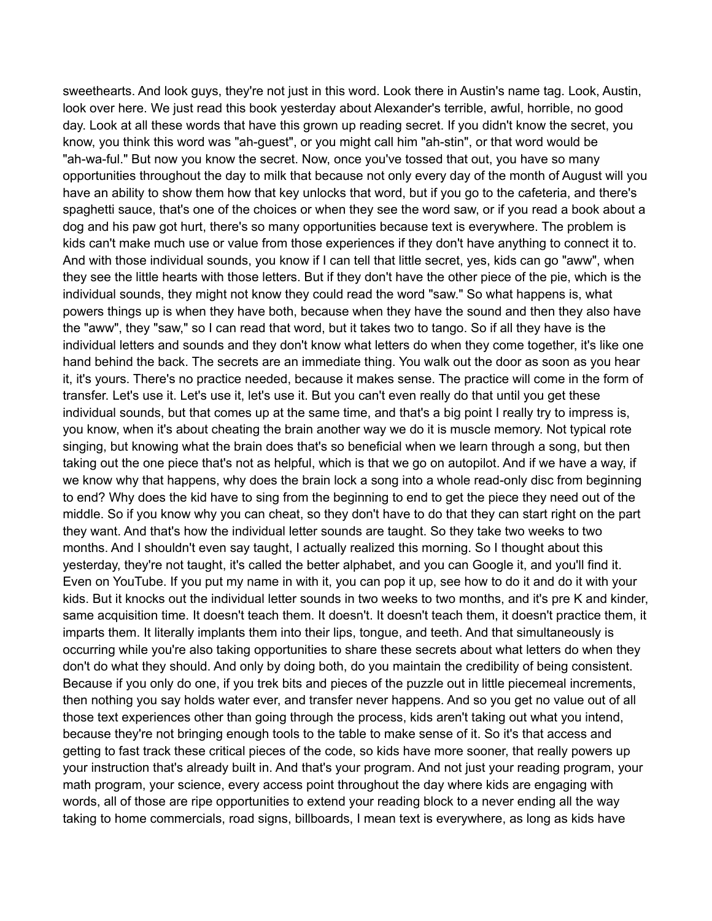sweethearts. And look guys, they're not just in this word. Look there in Austin's name tag. Look, Austin, look over here. We just read this book yesterday about Alexander's terrible, awful, horrible, no good day. Look at all these words that have this grown up reading secret. If you didn't know the secret, you know, you think this word was "ah-guest", or you might call him "ah-stin", or that word would be "ah-wa-ful." But now you know the secret. Now, once you've tossed that out, you have so many opportunities throughout the day to milk that because not only every day of the month of August will you have an ability to show them how that key unlocks that word, but if you go to the cafeteria, and there's spaghetti sauce, that's one of the choices or when they see the word saw, or if you read a book about a dog and his paw got hurt, there's so many opportunities because text is everywhere. The problem is kids can't make much use or value from those experiences if they don't have anything to connect it to. And with those individual sounds, you know if I can tell that little secret, yes, kids can go "aww", when they see the little hearts with those letters. But if they don't have the other piece of the pie, which is the individual sounds, they might not know they could read the word "saw." So what happens is, what powers things up is when they have both, because when they have the sound and then they also have the "aww", they "saw," so I can read that word, but it takes two to tango. So if all they have is the individual letters and sounds and they don't know what letters do when they come together, it's like one hand behind the back. The secrets are an immediate thing. You walk out the door as soon as you hear it, it's yours. There's no practice needed, because it makes sense. The practice will come in the form of transfer. Let's use it. Let's use it, let's use it. But you can't even really do that until you get these individual sounds, but that comes up at the same time, and that's a big point I really try to impress is, you know, when it's about cheating the brain another way we do it is muscle memory. Not typical rote singing, but knowing what the brain does that's so beneficial when we learn through a song, but then taking out the one piece that's not as helpful, which is that we go on autopilot. And if we have a way, if we know why that happens, why does the brain lock a song into a whole read-only disc from beginning to end? Why does the kid have to sing from the beginning to end to get the piece they need out of the middle. So if you know why you can cheat, so they don't have to do that they can start right on the part they want. And that's how the individual letter sounds are taught. So they take two weeks to two months. And I shouldn't even say taught, I actually realized this morning. So I thought about this yesterday, they're not taught, it's called the better alphabet, and you can Google it, and you'll find it. Even on YouTube. If you put my name in with it, you can pop it up, see how to do it and do it with your kids. But it knocks out the individual letter sounds in two weeks to two months, and it's pre K and kinder, same acquisition time. It doesn't teach them. It doesn't. It doesn't teach them, it doesn't practice them, it imparts them. It literally implants them into their lips, tongue, and teeth. And that simultaneously is occurring while you're also taking opportunities to share these secrets about what letters do when they don't do what they should. And only by doing both, do you maintain the credibility of being consistent. Because if you only do one, if you trek bits and pieces of the puzzle out in little piecemeal increments, then nothing you say holds water ever, and transfer never happens. And so you get no value out of all those text experiences other than going through the process, kids aren't taking out what you intend, because they're not bringing enough tools to the table to make sense of it. So it's that access and getting to fast track these critical pieces of the code, so kids have more sooner, that really powers up your instruction that's already built in. And that's your program. And not just your reading program, your math program, your science, every access point throughout the day where kids are engaging with words, all of those are ripe opportunities to extend your reading block to a never ending all the way taking to home commercials, road signs, billboards, I mean text is everywhere, as long as kids have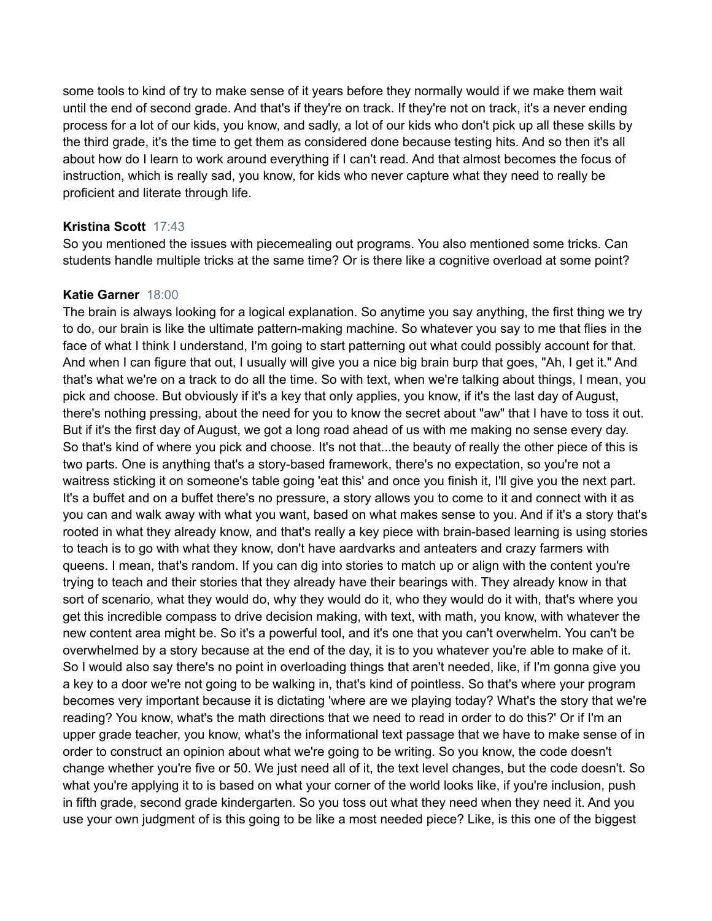some tools to kind of try to make sense of it years before they normally would if we make them wait until the end of second grade. And that's if they're on track. If they're not on track, it's a never ending process for a lot of our kids, you know, and sadly, a lot of our kids who don't pick up all these skills by the third grade, it's the time to get them as considered done because testing hits. And so then it's all about how do I learn to work around everything if I can't read. And that almost becomes the focus of instruction, which is really sad, you know, for kids who never capture what they need to really be proficient and literate through life.

# **Kristina Scott** 17:43

So you mentioned the issues with piecemealing out programs. You also mentioned some tricks. Can students handle multiple tricks at the same time? Or is there like a cognitive overload at some point?

# **Katie Garner** 18:00

The brain is always looking for a logical explanation. So anytime you say anything, the first thing we try to do, our brain is like the ultimate pattern-making machine. So whatever you say to me that flies in the face of what I think I understand, I'm going to start patterning out what could possibly account for that. And when I can figure that out, I usually will give you a nice big brain burp that goes, "Ah, I get it." And that's what we're on a track to do all the time. So with text, when we're talking about things, I mean, you pick and choose. But obviously if it's a key that only applies, you know, if it's the last day of August, there's nothing pressing, about the need for you to know the secret about "aw" that I have to toss it out. But if it's the first day of August, we got a long road ahead of us with me making no sense every day. So that's kind of where you pick and choose. It's not that...the beauty of really the other piece of this is two parts. One is anything that's a story-based framework, there's no expectation, so you're not a waitress sticking it on someone's table going 'eat this' and once you finish it, I'll give you the next part. It's a buffet and on a buffet there's no pressure, a story allows you to come to it and connect with it as you can and walk away with what you want, based on what makes sense to you. And if it's a story that's rooted in what they already know, and that's really a key piece with brain-based learning is using stories to teach is to go with what they know, don't have aardvarks and anteaters and crazy farmers with queens. I mean, that's random. If you can dig into stories to match up or align with the content you're trying to teach and their stories that they already have their bearings with. They already know in that sort of scenario, what they would do, why they would do it, who they would do it with, that's where you get this incredible compass to drive decision making, with text, with math, you know, with whatever the new content area might be. So it's a powerful tool, and it's one that you can't overwhelm. You can't be overwhelmed by a story because at the end of the day, it is to you whatever you're able to make of it. So I would also say there's no point in overloading things that aren't needed, like, if I'm gonna give you a key to a door we're not going to be walking in, that's kind of pointless. So that's where your program becomes very important because it is dictating 'where are we playing today? What's the story that we're reading? You know, what's the math directions that we need to read in order to do this?' Or if I'm an upper grade teacher, you know, what's the informational text passage that we have to make sense of in order to construct an opinion about what we're going to be writing. So you know, the code doesn't change whether you're five or 50. We just need all of it, the text level changes, but the code doesn't. So what you're applying it to is based on what your corner of the world looks like, if you're inclusion, push in fifth grade, second grade kindergarten. So you toss out what they need when they need it. And you use your own judgment of is this going to be like a most needed piece? Like, is this one of the biggest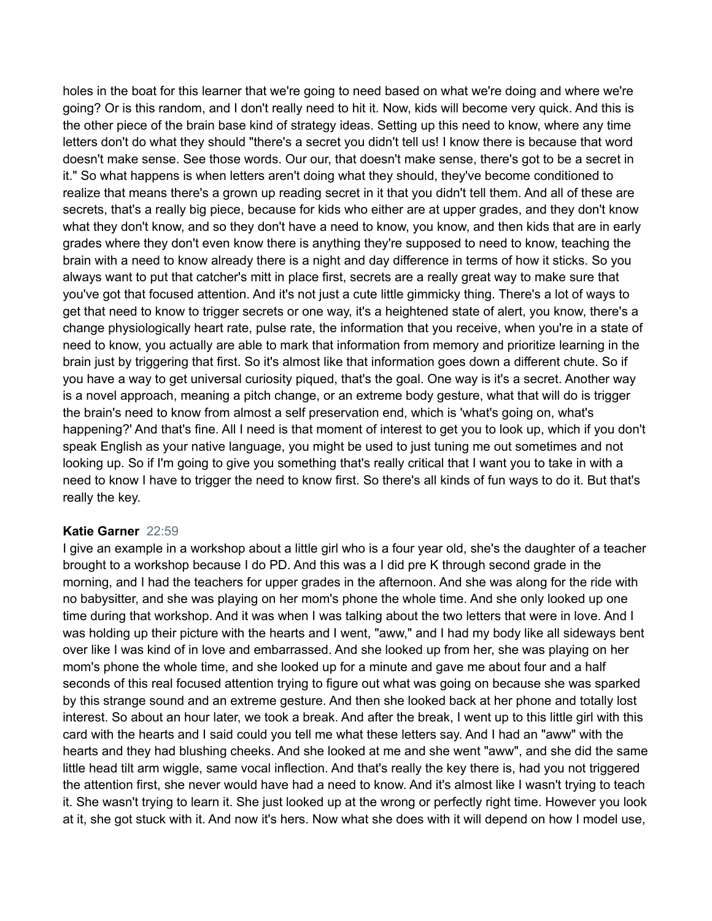holes in the boat for this learner that we're going to need based on what we're doing and where we're going? Or is this random, and I don't really need to hit it. Now, kids will become very quick. And this is the other piece of the brain base kind of strategy ideas. Setting up this need to know, where any time letters don't do what they should "there's a secret you didn't tell us! I know there is because that word doesn't make sense. See those words. Our our, that doesn't make sense, there's got to be a secret in it." So what happens is when letters aren't doing what they should, they've become conditioned to realize that means there's a grown up reading secret in it that you didn't tell them. And all of these are secrets, that's a really big piece, because for kids who either are at upper grades, and they don't know what they don't know, and so they don't have a need to know, you know, and then kids that are in early grades where they don't even know there is anything they're supposed to need to know, teaching the brain with a need to know already there is a night and day difference in terms of how it sticks. So you always want to put that catcher's mitt in place first, secrets are a really great way to make sure that you've got that focused attention. And it's not just a cute little gimmicky thing. There's a lot of ways to get that need to know to trigger secrets or one way, it's a heightened state of alert, you know, there's a change physiologically heart rate, pulse rate, the information that you receive, when you're in a state of need to know, you actually are able to mark that information from memory and prioritize learning in the brain just by triggering that first. So it's almost like that information goes down a different chute. So if you have a way to get universal curiosity piqued, that's the goal. One way is it's a secret. Another way is a novel approach, meaning a pitch change, or an extreme body gesture, what that will do is trigger the brain's need to know from almost a self preservation end, which is 'what's going on, what's happening?' And that's fine. All I need is that moment of interest to get you to look up, which if you don't speak English as your native language, you might be used to just tuning me out sometimes and not looking up. So if I'm going to give you something that's really critical that I want you to take in with a need to know I have to trigger the need to know first. So there's all kinds of fun ways to do it. But that's really the key.

### **Katie Garner** 22:59

I give an example in a workshop about a little girl who is a four year old, she's the daughter of a teacher brought to a workshop because I do PD. And this was a I did pre K through second grade in the morning, and I had the teachers for upper grades in the afternoon. And she was along for the ride with no babysitter, and she was playing on her mom's phone the whole time. And she only looked up one time during that workshop. And it was when I was talking about the two letters that were in love. And I was holding up their picture with the hearts and I went, "aww," and I had my body like all sideways bent over like I was kind of in love and embarrassed. And she looked up from her, she was playing on her mom's phone the whole time, and she looked up for a minute and gave me about four and a half seconds of this real focused attention trying to figure out what was going on because she was sparked by this strange sound and an extreme gesture. And then she looked back at her phone and totally lost interest. So about an hour later, we took a break. And after the break, I went up to this little girl with this card with the hearts and I said could you tell me what these letters say. And I had an "aww" with the hearts and they had blushing cheeks. And she looked at me and she went "aww", and she did the same little head tilt arm wiggle, same vocal inflection. And that's really the key there is, had you not triggered the attention first, she never would have had a need to know. And it's almost like I wasn't trying to teach it. She wasn't trying to learn it. She just looked up at the wrong or perfectly right time. However you look at it, she got stuck with it. And now it's hers. Now what she does with it will depend on how I model use,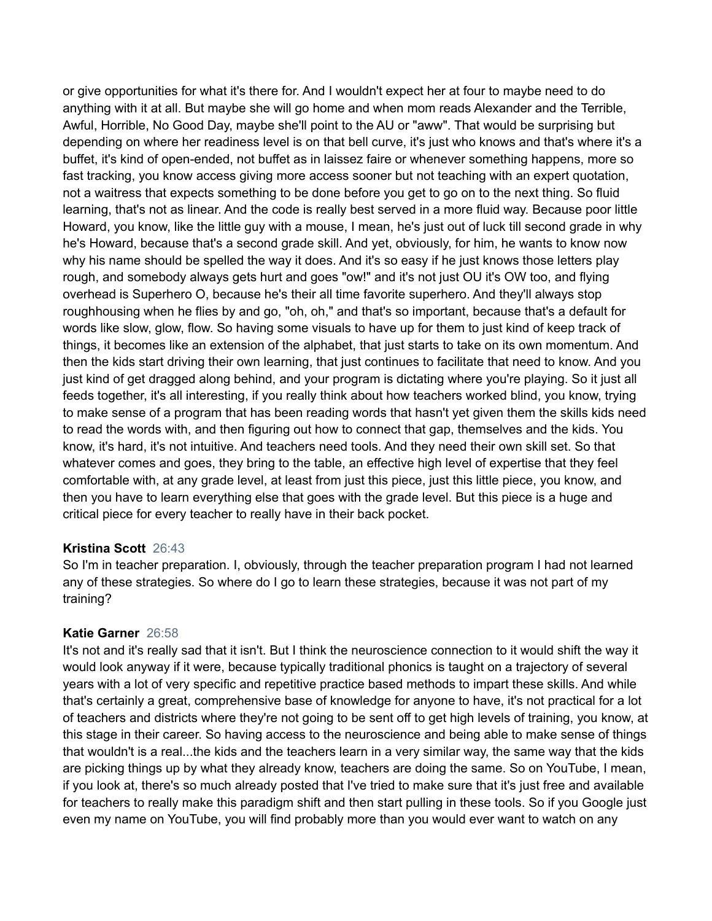or give opportunities for what it's there for. And I wouldn't expect her at four to maybe need to do anything with it at all. But maybe she will go home and when mom reads Alexander and the Terrible, Awful, Horrible, No Good Day, maybe she'll point to the AU or "aww". That would be surprising but depending on where her readiness level is on that bell curve, it's just who knows and that's where it's a buffet, it's kind of open-ended, not buffet as in laissez faire or whenever something happens, more so fast tracking, you know access giving more access sooner but not teaching with an expert quotation, not a waitress that expects something to be done before you get to go on to the next thing. So fluid learning, that's not as linear. And the code is really best served in a more fluid way. Because poor little Howard, you know, like the little guy with a mouse, I mean, he's just out of luck till second grade in why he's Howard, because that's a second grade skill. And yet, obviously, for him, he wants to know now why his name should be spelled the way it does. And it's so easy if he just knows those letters play rough, and somebody always gets hurt and goes "ow!" and it's not just OU it's OW too, and flying overhead is Superhero O, because he's their all time favorite superhero. And they'll always stop roughhousing when he flies by and go, "oh, oh," and that's so important, because that's a default for words like slow, glow, flow. So having some visuals to have up for them to just kind of keep track of things, it becomes like an extension of the alphabet, that just starts to take on its own momentum. And then the kids start driving their own learning, that just continues to facilitate that need to know. And you just kind of get dragged along behind, and your program is dictating where you're playing. So it just all feeds together, it's all interesting, if you really think about how teachers worked blind, you know, trying to make sense of a program that has been reading words that hasn't yet given them the skills kids need to read the words with, and then figuring out how to connect that gap, themselves and the kids. You know, it's hard, it's not intuitive. And teachers need tools. And they need their own skill set. So that whatever comes and goes, they bring to the table, an effective high level of expertise that they feel comfortable with, at any grade level, at least from just this piece, just this little piece, you know, and then you have to learn everything else that goes with the grade level. But this piece is a huge and critical piece for every teacher to really have in their back pocket.

### **Kristina Scott** 26:43

So I'm in teacher preparation. I, obviously, through the teacher preparation program I had not learned any of these strategies. So where do I go to learn these strategies, because it was not part of my training?

# **Katie Garner** 26:58

It's not and it's really sad that it isn't. But I think the neuroscience connection to it would shift the way it would look anyway if it were, because typically traditional phonics is taught on a trajectory of several years with a lot of very specific and repetitive practice based methods to impart these skills. And while that's certainly a great, comprehensive base of knowledge for anyone to have, it's not practical for a lot of teachers and districts where they're not going to be sent off to get high levels of training, you know, at this stage in their career. So having access to the neuroscience and being able to make sense of things that wouldn't is a real...the kids and the teachers learn in a very similar way, the same way that the kids are picking things up by what they already know, teachers are doing the same. So on YouTube, I mean, if you look at, there's so much already posted that I've tried to make sure that it's just free and available for teachers to really make this paradigm shift and then start pulling in these tools. So if you Google just even my name on YouTube, you will find probably more than you would ever want to watch on any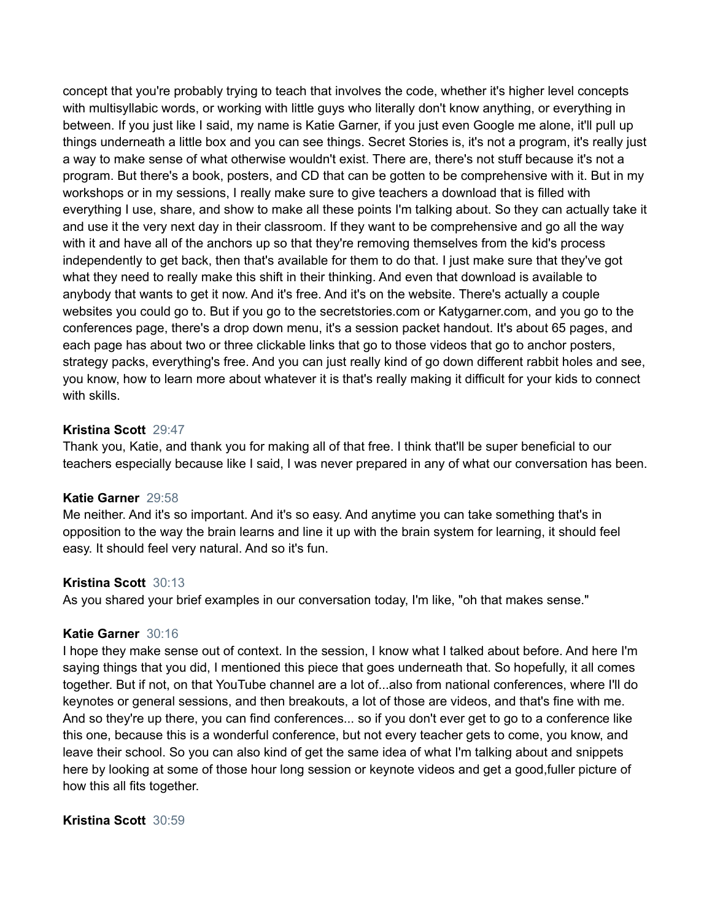concept that you're probably trying to teach that involves the code, whether it's higher level concepts with multisyllabic words, or working with little guys who literally don't know anything, or everything in between. If you just like I said, my name is Katie Garner, if you just even Google me alone, it'll pull up things underneath a little box and you can see things. Secret Stories is, it's not a program, it's really just a way to make sense of what otherwise wouldn't exist. There are, there's not stuff because it's not a program. But there's a book, posters, and CD that can be gotten to be comprehensive with it. But in my workshops or in my sessions, I really make sure to give teachers a download that is filled with everything I use, share, and show to make all these points I'm talking about. So they can actually take it and use it the very next day in their classroom. If they want to be comprehensive and go all the way with it and have all of the anchors up so that they're removing themselves from the kid's process independently to get back, then that's available for them to do that. I just make sure that they've got what they need to really make this shift in their thinking. And even that download is available to anybody that wants to get it now. And it's free. And it's on the website. There's actually a couple websites you could go to. But if you go to the secretstories.com or Katygarner.com, and you go to the conferences page, there's a drop down menu, it's a session packet handout. It's about 65 pages, and each page has about two or three clickable links that go to those videos that go to anchor posters, strategy packs, everything's free. And you can just really kind of go down different rabbit holes and see, you know, how to learn more about whatever it is that's really making it difficult for your kids to connect with skills.

## **Kristina Scott** 29:47

Thank you, Katie, and thank you for making all of that free. I think that'll be super beneficial to our teachers especially because like I said, I was never prepared in any of what our conversation has been.

### **Katie Garner** 29:58

Me neither. And it's so important. And it's so easy. And anytime you can take something that's in opposition to the way the brain learns and line it up with the brain system for learning, it should feel easy. It should feel very natural. And so it's fun.

### **Kristina Scott** 30:13

As you shared your brief examples in our conversation today, I'm like, "oh that makes sense."

### **Katie Garner** 30:16

I hope they make sense out of context. In the session, I know what I talked about before. And here I'm saying things that you did, I mentioned this piece that goes underneath that. So hopefully, it all comes together. But if not, on that YouTube channel are a lot of...also from national conferences, where I'll do keynotes or general sessions, and then breakouts, a lot of those are videos, and that's fine with me. And so they're up there, you can find conferences... so if you don't ever get to go to a conference like this one, because this is a wonderful conference, but not every teacher gets to come, you know, and leave their school. So you can also kind of get the same idea of what I'm talking about and snippets here by looking at some of those hour long session or keynote videos and get a good,fuller picture of how this all fits together.

# **Kristina Scott** 30:59